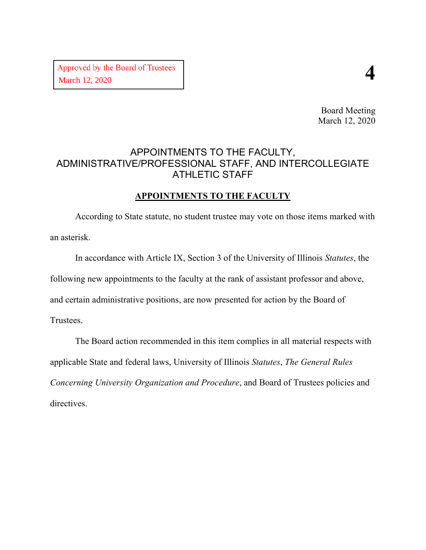Board Meeting March 12, 2020

## APPOINTMENTS TO THE FACULTY, ADMINISTRATIVE/PROFESSIONAL STAFF, AND INTERCOLLEGIATE ATHLETIC STAFF

#### **APPOINTMENTS TO THE FACULTY**

According to State statute, no student trustee may vote on those items marked with an asterisk.

In accordance with Article IX, Section 3 of the University of Illinois *Statutes*, the following new appointments to the faculty at the rank of assistant professor and above, and certain administrative positions, are now presented for action by the Board of Trustees.

The Board action recommended in this item complies in all material respects with applicable State and federal laws, University of Illinois *Statutes*, *The General Rules Concerning University Organization and Procedure*, and Board of Trustees policies and directives.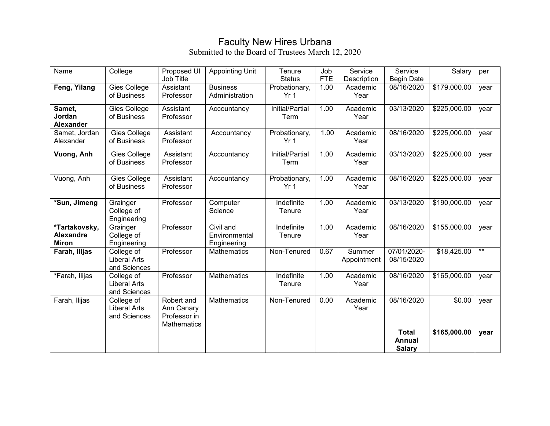## Faculty New Hires Urbana

| Name                                              | College                                           | Proposed UI<br>Job Title                                       | <b>Appointing Unit</b>                    | Tenure<br><b>Status</b>          | Job<br><b>FTE</b> | Service<br>Description | Service<br><b>Begin Date</b>            | Salary       | per             |
|---------------------------------------------------|---------------------------------------------------|----------------------------------------------------------------|-------------------------------------------|----------------------------------|-------------------|------------------------|-----------------------------------------|--------------|-----------------|
| Feng, Yilang                                      | Gies College<br>of Business                       | Assistant<br>Professor                                         | <b>Business</b><br>Administration         | Probationary,<br>Yr <sub>1</sub> | 1.00              | Academic<br>Year       | 08/16/2020                              | \$179,000.00 | year            |
| Samet,<br>Jordan<br>Alexander                     | Gies College<br>of Business                       | Assistant<br>Professor                                         | Accountancy                               | Initial/Partial<br>Term          | 1.00              | Academic<br>Year       | 03/13/2020                              | \$225,000.00 | year            |
| Samet, Jordan<br>Alexander                        | Gies College<br>of Business                       | Assistant<br>Professor                                         | Accountancy                               | Probationary,<br>Yr <sub>1</sub> | 1.00              | Academic<br>Year       | 08/16/2020                              | \$225,000.00 | year            |
| Vuong, Anh                                        | Gies College<br>of Business                       | Assistant<br>Professor                                         | Accountancy                               | Initial/Partial<br>Term          | 1.00              | Academic<br>Year       | 03/13/2020                              | \$225,000.00 | year            |
| Vuong, Anh                                        | Gies College<br>of Business                       | Assistant<br>Professor                                         | Accountancy                               | Probationary,<br>Yr 1            | 1.00              | Academic<br>Year       | 08/16/2020                              | \$225,000.00 | year            |
| *Sun, Jimeng                                      | Grainger<br>College of<br>Engineering             | Professor                                                      | Computer<br>Science                       | Indefinite<br>Tenure             | 1.00              | Academic<br>Year       | 03/13/2020                              | \$190,000.00 | year            |
| *Tartakovsky,<br><b>Alexandre</b><br><b>Miron</b> | Grainger<br>College of<br>Engineering             | Professor                                                      | Civil and<br>Environmental<br>Engineering | Indefinite<br>Tenure             | 1.00              | Academic<br>Year       | 08/16/2020                              | \$155,000.00 | year            |
| Farah, Ilijas                                     | College of<br><b>Liberal Arts</b><br>and Sciences | Professor                                                      | <b>Mathematics</b>                        | Non-Tenured                      | 0.67              | Summer<br>Appointment  | 07/01/2020-<br>08/15/2020               | \$18,425.00  | $^{\star\star}$ |
| *Farah, Ilijas                                    | College of<br><b>Liberal Arts</b><br>and Sciences | Professor                                                      | Mathematics                               | Indefinite<br>Tenure             | 1.00              | Academic<br>Year       | 08/16/2020                              | \$165,000.00 | year            |
| Farah, Ilijas                                     | College of<br><b>Liberal Arts</b><br>and Sciences | Robert and<br>Ann Canary<br>Professor in<br><b>Mathematics</b> | <b>Mathematics</b>                        | Non-Tenured                      | 0.00              | Academic<br>Year       | 08/16/2020                              | \$0.00       | year            |
|                                                   |                                                   |                                                                |                                           |                                  |                   |                        | <b>Total</b><br>Annual<br><b>Salary</b> | \$165,000.00 | year            |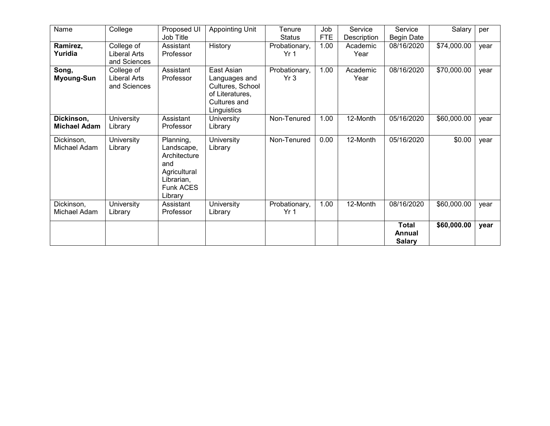| Name                | College             | Proposed UI      | <b>Appointing Unit</b> | Tenure          | Job        | Service            | Service           | Salary      | per  |
|---------------------|---------------------|------------------|------------------------|-----------------|------------|--------------------|-------------------|-------------|------|
|                     |                     | Job Title        |                        | <b>Status</b>   | <b>FTE</b> | <b>Description</b> | <b>Begin Date</b> |             |      |
| Ramirez,            | College of          | Assistant        | History                | Probationary,   | 1.00       | Academic           | 08/16/2020        | \$74,000.00 | year |
| Yuridia             | <b>Liberal Arts</b> | Professor        |                        | Yr <sub>1</sub> |            | Year               |                   |             |      |
|                     | and Sciences        |                  |                        |                 |            |                    |                   |             |      |
| Song,               | College of          | Assistant        | East Asian             | Probationary,   | 1.00       | Academic           | 08/16/2020        | \$70,000.00 | year |
| <b>Myoung-Sun</b>   | <b>Liberal Arts</b> | Professor        | Languages and          | Yr3             |            | Year               |                   |             |      |
|                     | and Sciences        |                  | Cultures, School       |                 |            |                    |                   |             |      |
|                     |                     |                  | of Literatures,        |                 |            |                    |                   |             |      |
|                     |                     |                  | Cultures and           |                 |            |                    |                   |             |      |
|                     |                     |                  | Linguistics            |                 |            |                    |                   |             |      |
| Dickinson,          |                     | Assistant        |                        | Non-Tenured     | 1.00       | 12-Month           | 05/16/2020        |             |      |
|                     | University          |                  | University             |                 |            |                    |                   | \$60,000.00 | year |
| <b>Michael Adam</b> | Library             | Professor        | Library                |                 |            |                    |                   |             |      |
| Dickinson,          | University          | Planning,        | University             | Non-Tenured     | 0.00       | 12-Month           | 05/16/2020        | \$0.00      | year |
| Michael Adam        | Library             | Landscape,       | Library                |                 |            |                    |                   |             |      |
|                     |                     | Architecture     |                        |                 |            |                    |                   |             |      |
|                     |                     | and              |                        |                 |            |                    |                   |             |      |
|                     |                     | Agricultural     |                        |                 |            |                    |                   |             |      |
|                     |                     | Librarian,       |                        |                 |            |                    |                   |             |      |
|                     |                     | <b>Funk ACES</b> |                        |                 |            |                    |                   |             |      |
|                     |                     |                  |                        |                 |            |                    |                   |             |      |
|                     |                     | Library          |                        |                 |            |                    |                   |             |      |
| Dickinson,          | University          | Assistant        | University             | Probationary,   | 1.00       | 12-Month           | 08/16/2020        | \$60,000.00 | year |
| Michael Adam        | Library             | Professor        | Library                | Yr <sub>1</sub> |            |                    |                   |             |      |
|                     |                     |                  |                        |                 |            |                    | <b>Total</b>      | \$60,000.00 | year |
|                     |                     |                  |                        |                 |            |                    | Annual            |             |      |
|                     |                     |                  |                        |                 |            |                    | <b>Salary</b>     |             |      |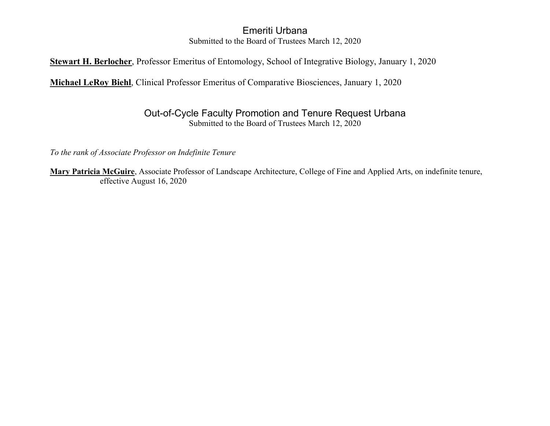#### Emeriti Urbana Submitted to the Board of Trustees March 12, 2020

#### **Stewart H. Berlocher**, Professor Emeritus of Entomology, School of Integrative Biology, January 1, 2020

**Michael LeRoy Biehl**, Clinical Professor Emeritus of Comparative Biosciences, January 1, 2020

#### Out-of-Cycle Faculty Promotion and Tenure Request Urbana Submitted to the Board of Trustees March 12, 2020

*To the rank of Associate Professor on Indefinite Tenure*

**Mary Patricia McGuire**, Associate Professor of Landscape Architecture, College of Fine and Applied Arts, on indefinite tenure, effective August 16, 2020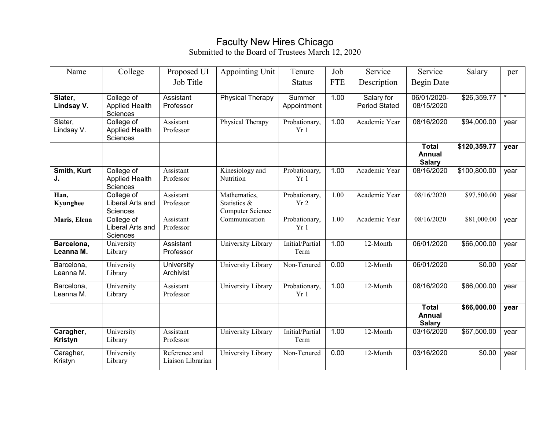## Faculty New Hires Chicago

| Name                        | College                                         | Proposed UI                        | Appointing Unit                                  | Tenure                  | Job        | Service                            | Service                                        | Salary       | per     |
|-----------------------------|-------------------------------------------------|------------------------------------|--------------------------------------------------|-------------------------|------------|------------------------------------|------------------------------------------------|--------------|---------|
|                             |                                                 | Job Title                          |                                                  | <b>Status</b>           | <b>FTE</b> | Description                        | <b>Begin Date</b>                              |              |         |
| Slater,<br>Lindsay V.       | College of<br><b>Applied Health</b><br>Sciences | Assistant<br>Professor             | <b>Physical Therapy</b>                          | Summer<br>Appointment   | 1.00       | Salary for<br><b>Period Stated</b> | 06/01/2020-<br>08/15/2020                      | \$26,359.77  | $\star$ |
| Slater,<br>Lindsay V.       | College of<br><b>Applied Health</b><br>Sciences | Assistant<br>Professor             | Physical Therapy                                 | Probationary,<br>Yr1    | 1.00       | Academic Year                      | 08/16/2020                                     | \$94,000.00  | year    |
|                             |                                                 |                                    |                                                  |                         |            |                                    | <b>Total</b><br><b>Annual</b><br><b>Salary</b> | \$120,359.77 | year    |
| Smith, Kurt<br>J.           | College of<br><b>Applied Health</b><br>Sciences | Assistant<br>Professor             | Kinesiology and<br>Nutrition                     | Probationary,<br>Yr1    | 1.00       | Academic Year                      | 08/16/2020                                     | \$100,800.00 | year    |
| Han,<br>Kyunghee            | College of<br>Liberal Arts and<br>Sciences      | Assistant<br>Professor             | Mathematics,<br>Statistics &<br>Computer Science | Probationary,<br>Yr2    | 1.00       | Academic Year                      | 08/16/2020                                     | \$97,500.00  | year    |
| Maris, Elena                | College of<br>Liberal Arts and<br>Sciences      | Assistant<br>Professor             | Communication                                    | Probationary,<br>Yr 1   | 1.00       | Academic Year                      | 08/16/2020                                     | \$81,000.00  | year    |
| Barcelona,<br>Leanna M.     | University<br>Library                           | Assistant<br>Professor             | University Library                               | Initial/Partial<br>Term | 1.00       | 12-Month                           | 06/01/2020                                     | \$66,000.00  | year    |
| Barcelona,<br>Leanna M.     | University<br>Library                           | University<br>Archivist            | University Library                               | Non-Tenured             | 0.00       | 12-Month                           | 06/01/2020                                     | \$0.00       | year    |
| Barcelona,<br>Leanna M.     | University<br>Library                           | Assistant<br>Professor             | University Library                               | Probationary,<br>Yr 1   | 1.00       | 12-Month                           | 08/16/2020                                     | \$66,000.00  | year    |
|                             |                                                 |                                    |                                                  |                         |            |                                    | <b>Total</b><br><b>Annual</b><br><b>Salary</b> | \$66,000.00  | year    |
| Caragher,<br><b>Kristyn</b> | University<br>Library                           | Assistant<br>Professor             | University Library                               | Initial/Partial<br>Term | 1.00       | 12-Month                           | 03/16/2020                                     | \$67,500.00  | year    |
| Caragher,<br>Kristyn        | University<br>Library                           | Reference and<br>Liaison Librarian | University Library                               | Non-Tenured             | 0.00       | 12-Month                           | 03/16/2020                                     | \$0.00       | year    |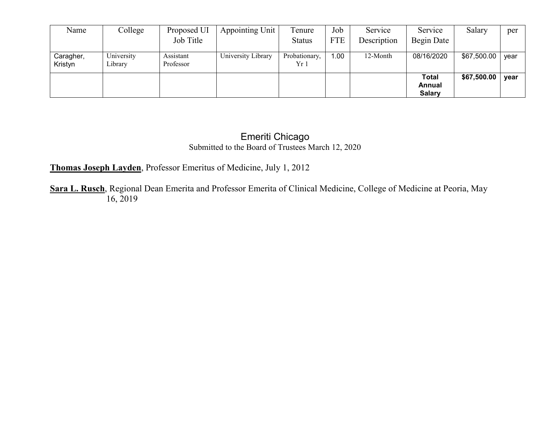| Name                 | College               | Proposed UI            | Appointing Unit    | Tenure                | Job        | Service     | Service                                 | Salary             | per  |
|----------------------|-----------------------|------------------------|--------------------|-----------------------|------------|-------------|-----------------------------------------|--------------------|------|
|                      |                       | Job Title              |                    | <b>Status</b>         | <b>FTE</b> | Description | Begin Date                              |                    |      |
| Caragher,<br>Kristyn | University<br>Library | Assistant<br>Professor | University Library | Probationary,<br>Yr 1 | .00.       | 12-Month    | 08/16/2020                              | \$67,500.00        | vear |
|                      |                       |                        |                    |                       |            |             | <b>Total</b><br>Annual<br><b>Salary</b> | \$67,500.00   year |      |

#### Emeriti Chicago Submitted to the Board of Trustees March 12, 2020

#### **Thomas Joseph Layden**, Professor Emeritus of Medicine, July 1, 2012

**Sara L. Rusch**, Regional Dean Emerita and Professor Emerita of Clinical Medicine, College of Medicine at Peoria, May 16, 2019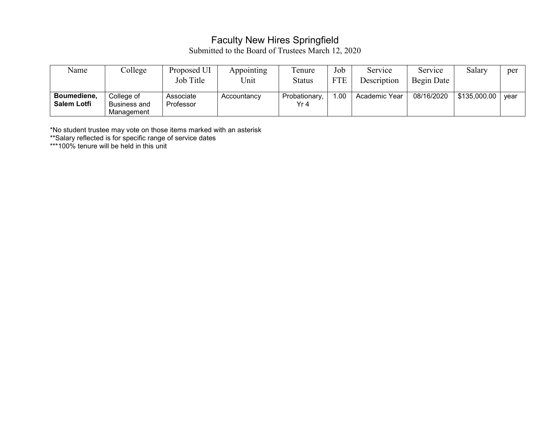## Faculty New Hires Springfield

Submitted to the Board of Trustees March 12, 2020

| Name                              | College                                         | Proposed UI            | Appointing  | l'enure               | Job        | Service       | Service    | Salary       | per  |
|-----------------------------------|-------------------------------------------------|------------------------|-------------|-----------------------|------------|---------------|------------|--------------|------|
|                                   |                                                 | Job Title              | Unit        | Status                | <b>FTE</b> | Description   | Begin Date |              |      |
| Boumediene,<br><b>Salem Lotfi</b> | College of<br><b>Business and</b><br>Management | Associate<br>Professor | Accountancy | Probationary,<br>Yr 4 | . .00      | Academic Year | 08/16/2020 | \$135,000.00 | vear |

\*No student trustee may vote on those items marked with an asterisk

\*\*Salary reflected is for specific range of service dates

\*\*\*100% tenure will be held in this unit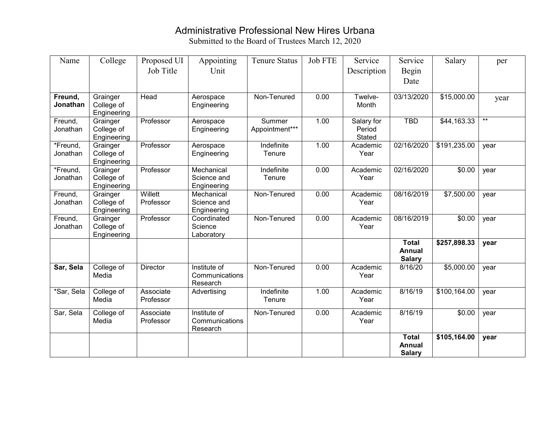# Administrative Professional New Hires Urbana

| Name       | College                 | Proposed UI | Appointing                | <b>Tenure Status</b> | <b>Job FTE</b> | Service       | Service                       | Salary       | per   |
|------------|-------------------------|-------------|---------------------------|----------------------|----------------|---------------|-------------------------------|--------------|-------|
|            |                         | Job Title   | Unit                      |                      |                | Description   | Begin                         |              |       |
|            |                         |             |                           |                      |                |               | Date                          |              |       |
|            |                         |             |                           |                      |                |               |                               |              |       |
| Freund,    | Grainger                | Head        | Aerospace                 | Non-Tenured          | 0.00           | Twelve-       | 03/13/2020                    | \$15,000.00  | year  |
| Jonathan   | College of              |             | Engineering               |                      |                | Month         |                               |              |       |
| Freund,    | Engineering<br>Grainger | Professor   | Aerospace                 | Summer               | 1.00           | Salary for    | <b>TBD</b>                    | \$44,163.33  | $***$ |
| Jonathan   | College of              |             | Engineering               | Appointment***       |                | Period        |                               |              |       |
|            | Engineering             |             |                           |                      |                | <b>Stated</b> |                               |              |       |
| *Freund,   | Grainger                | Professor   | Aerospace                 | Indefinite           | 1.00           | Academic      | 02/16/2020                    | \$191,235.00 | year  |
| Jonathan   | College of              |             | Engineering               | Tenure               |                | Year          |                               |              |       |
|            | Engineering             |             |                           |                      |                |               |                               |              |       |
| *Freund,   | Grainger                | Professor   | Mechanical                | Indefinite           | 0.00           | Academic      | 02/16/2020                    | \$0.00       | year  |
| Jonathan   | College of              |             | Science and               | Tenure               |                | Year          |                               |              |       |
| Freund,    | Engineering<br>Grainger | Willett     | Engineering<br>Mechanical | Non-Tenured          | 0.00           | Academic      | 08/16/2019                    | \$7,500.00   | year  |
| Jonathan   | College of              | Professor   | Science and               |                      |                | Year          |                               |              |       |
|            | Engineering             |             | Engineering               |                      |                |               |                               |              |       |
| Freund,    | Grainger                | Professor   | Coordinated               | Non-Tenured          | 0.00           | Academic      | 08/16/2019                    | \$0.00       | year  |
| Jonathan   | College of              |             | Science                   |                      |                | Year          |                               |              |       |
|            | Engineering             |             | Laboratory                |                      |                |               |                               |              |       |
|            |                         |             |                           |                      |                |               | <b>Total</b><br><b>Annual</b> | \$257,898.33 | year  |
|            |                         |             |                           |                      |                |               | <b>Salary</b>                 |              |       |
| Sar, Sela  | College of              | Director    | Institute of              | Non-Tenured          | 0.00           | Academic      | 8/16/20                       | \$5,000.00   | year  |
|            | Media                   |             | Communications            |                      |                | Year          |                               |              |       |
|            |                         |             | Research                  |                      |                |               |                               |              |       |
| *Sar, Sela | College of              | Associate   | Advertising               | Indefinite           | 1.00           | Academic      | 8/16/19                       | \$100,164.00 | year  |
|            | Media                   | Professor   |                           | Tenure               |                | Year          |                               |              |       |
| Sar, Sela  | College of              | Associate   | Institute of              | Non-Tenured          | 0.00           | Academic      | 8/16/19                       | \$0.00       | year  |
|            | Media                   | Professor   | Communications            |                      |                | Year          |                               |              |       |
|            |                         |             | Research                  |                      |                |               |                               |              |       |
|            |                         |             |                           |                      |                |               | <b>Total</b>                  | \$105,164.00 | year  |
|            |                         |             |                           |                      |                |               | <b>Annual</b>                 |              |       |
|            |                         |             |                           |                      |                |               | <b>Salary</b>                 |              |       |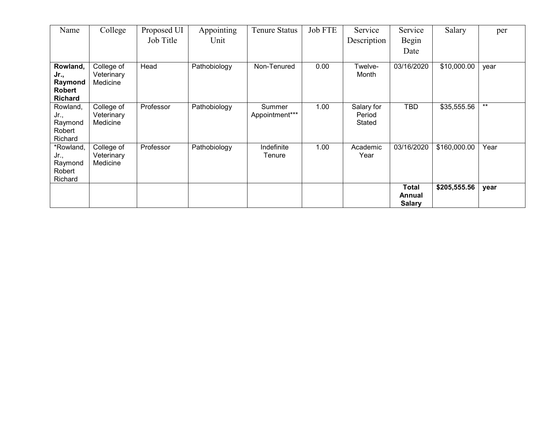| Name                                                           | College                              | Proposed UI | Appointing   | <b>Tenure Status</b>     | Job FTE | Service                        | Service                                 | Salary       | per   |
|----------------------------------------------------------------|--------------------------------------|-------------|--------------|--------------------------|---------|--------------------------------|-----------------------------------------|--------------|-------|
|                                                                |                                      | Job Title   | Unit         |                          |         | Description                    | Begin                                   |              |       |
|                                                                |                                      |             |              |                          |         |                                | Date                                    |              |       |
| Rowland,<br>Jr.,<br>Raymond<br><b>Robert</b><br><b>Richard</b> | College of<br>Veterinary<br>Medicine | Head        | Pathobiology | Non-Tenured              | 0.00    | Twelve-<br>Month               | 03/16/2020                              | \$10,000.00  | year  |
| Rowland,<br>Jr.,<br>Raymond<br>Robert<br>Richard               | College of<br>Veterinary<br>Medicine | Professor   | Pathobiology | Summer<br>Appointment*** | 1.00    | Salary for<br>Period<br>Stated | <b>TBD</b>                              | \$35,555.56  | $***$ |
| *Rowland,<br>Jr.,<br>Raymond<br>Robert<br>Richard              | College of<br>Veterinary<br>Medicine | Professor   | Pathobiology | Indefinite<br>Tenure     | 1.00    | Academic<br>Year               | 03/16/2020                              | \$160,000.00 | Year  |
|                                                                |                                      |             |              |                          |         |                                | <b>Total</b><br>Annual<br><b>Salary</b> | \$205,555.56 | year  |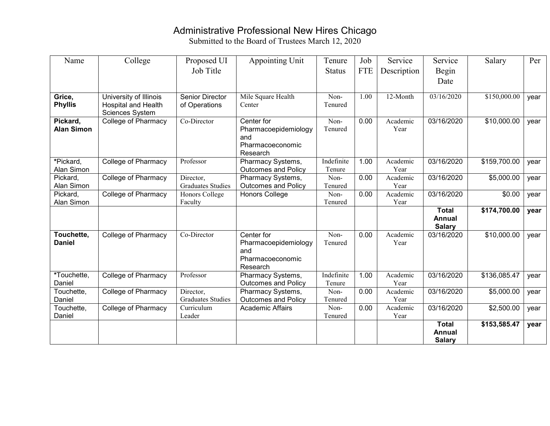# Administrative Professional New Hires Chicago

| Name              | College                                              | Proposed UI              | <b>Appointing Unit</b>        | Tenure        | Job        | Service     | Service                | Salary                   | Per  |
|-------------------|------------------------------------------------------|--------------------------|-------------------------------|---------------|------------|-------------|------------------------|--------------------------|------|
|                   |                                                      | Job Title                |                               | <b>Status</b> | <b>FTE</b> | Description | Begin                  |                          |      |
|                   |                                                      |                          |                               |               |            |             | Date                   |                          |      |
|                   |                                                      |                          |                               |               |            |             |                        |                          |      |
| Grice,            | University of Illinois                               | <b>Senior Director</b>   | Mile Square Health            | Non-          | 1.00       | 12-Month    | 03/16/2020             | \$150,000.00             | year |
| <b>Phyllis</b>    | <b>Hospital and Health</b><br><b>Sciences System</b> | of Operations            | Center                        | Tenured       |            |             |                        |                          |      |
| Pickard,          | <b>College of Pharmacy</b>                           | Co-Director              | Center for                    | Non-          | 0.00       | Academic    | 03/16/2020             | \$10,000.00              | year |
| <b>Alan Simon</b> |                                                      |                          | Pharmacoepidemiology          | Tenured       |            | Year        |                        |                          |      |
|                   |                                                      |                          | and                           |               |            |             |                        |                          |      |
|                   |                                                      |                          | Pharmacoeconomic              |               |            |             |                        |                          |      |
| *Pickard,         | <b>College of Pharmacy</b>                           | Professor                | Research<br>Pharmacy Systems, | Indefinite    | 1.00       | Academic    | 03/16/2020             | \$159,700.00             | year |
| Alan Simon        |                                                      |                          | <b>Outcomes and Policy</b>    | Tenure        |            | Year        |                        |                          |      |
| Pickard,          | <b>College of Pharmacy</b>                           | Director,                | Pharmacy Systems,             | Non-          | 0.00       | Academic    | 03/16/2020             | \$5,000.00               | year |
| Alan Simon        |                                                      | <b>Graduates Studies</b> | <b>Outcomes and Policy</b>    | Tenured       |            | Year        |                        |                          |      |
| Pickard,          | <b>College of Pharmacy</b>                           | Honors College           | Honors College                | Non-          | 0.00       | Academic    | 03/16/2020             | \$0.00                   | year |
| Alan Simon        |                                                      | Faculty                  |                               | Tenured       |            | Year        |                        |                          |      |
|                   |                                                      |                          |                               |               |            |             | <b>Total</b><br>Annual | \$174,700.00             | year |
|                   |                                                      |                          |                               |               |            |             | <b>Salary</b>          |                          |      |
| Touchette,        | <b>College of Pharmacy</b>                           | Co-Director              | Center for                    | Non-          | 0.00       | Academic    | 03/16/2020             | \$10,000.00              | year |
| <b>Daniel</b>     |                                                      |                          | Pharmacoepidemiology          | Tenured       |            | Year        |                        |                          |      |
|                   |                                                      |                          | and                           |               |            |             |                        |                          |      |
|                   |                                                      |                          | Pharmacoeconomic<br>Research  |               |            |             |                        |                          |      |
| *Touchette,       | <b>College of Pharmacy</b>                           | Professor                | Pharmacy Systems,             | Indefinite    | 1.00       | Academic    | 03/16/2020             | $\overline{$}136,085.47$ | year |
| Daniel            |                                                      |                          | <b>Outcomes and Policy</b>    | Tenure        |            | Year        |                        |                          |      |
| Touchette,        | <b>College of Pharmacy</b>                           | Director,                | Pharmacy Systems,             | Non-          | 0.00       | Academic    | 03/16/2020             | \$5,000.00               | year |
| Daniel            |                                                      | <b>Graduates Studies</b> | <b>Outcomes and Policy</b>    | Tenured       |            | Year        |                        |                          |      |
| Touchette,        | <b>College of Pharmacy</b>                           | Curriculum               | <b>Academic Affairs</b>       | Non-          | 0.00       | Academic    | 03/16/2020             | \$2,500.00               | year |
| Daniel            |                                                      | Leader                   |                               | Tenured       |            | Year        | <b>Total</b>           | \$153,585.47             |      |
|                   |                                                      |                          |                               |               |            |             | <b>Annual</b>          |                          | year |
|                   |                                                      |                          |                               |               |            |             | <b>Salary</b>          |                          |      |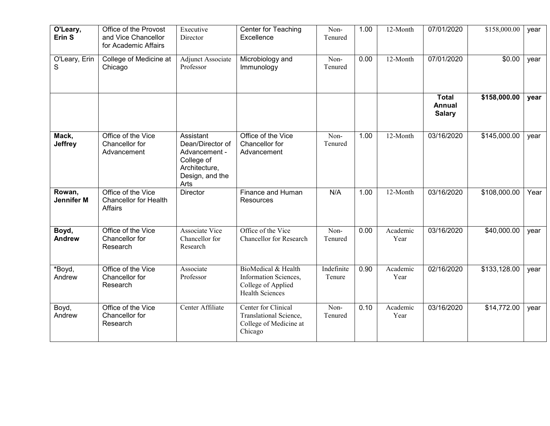| O'Leary,<br>Erin <sub>S</sub> | Office of the Provost<br>and Vice Chancellor<br>for Academic Affairs | Executive<br>Director                                                                                    | <b>Center for Teaching</b><br>Excellence                                                     | Non-<br>Tenured      | 1.00 | 12-Month         | 07/01/2020                                     | \$158,000.00 | year |
|-------------------------------|----------------------------------------------------------------------|----------------------------------------------------------------------------------------------------------|----------------------------------------------------------------------------------------------|----------------------|------|------------------|------------------------------------------------|--------------|------|
| O'Leary, Erin<br>S            | College of Medicine at<br>Chicago                                    | <b>Adjunct Associate</b><br>Professor                                                                    | Microbiology and<br>Immunology                                                               | Non-<br>Tenured      | 0.00 | 12-Month         | 07/01/2020                                     | \$0.00       | year |
|                               |                                                                      |                                                                                                          |                                                                                              |                      |      |                  | <b>Total</b><br><b>Annual</b><br><b>Salary</b> | \$158,000.00 | year |
| Mack,<br><b>Jeffrey</b>       | Office of the Vice<br>Chancellor for<br>Advancement                  | Assistant<br>Dean/Director of<br>Advancement -<br>College of<br>Architecture,<br>Design, and the<br>Arts | Office of the Vice<br>Chancellor for<br>Advancement                                          | Non-<br>Tenured      | 1.00 | 12-Month         | 03/16/2020                                     | \$145,000.00 | year |
| Rowan,<br><b>Jennifer M</b>   | Office of the Vice<br><b>Chancellor for Health</b><br>Affairs        | Director                                                                                                 | Finance and Human<br>Resources                                                               | N/A                  | 1.00 | 12-Month         | 03/16/2020                                     | \$108,000.00 | Year |
| Boyd,<br><b>Andrew</b>        | Office of the Vice<br>Chancellor for<br>Research                     | <b>Associate Vice</b><br>Chancellor for<br>Research                                                      | Office of the Vice<br>Chancellor for Research                                                | Non-<br>Tenured      | 0.00 | Academic<br>Year | 03/16/2020                                     | \$40,000.00  | year |
| *Boyd,<br>Andrew              | Office of the Vice<br>Chancellor for<br>Research                     | Associate<br>Professor                                                                                   | BioMedical & Health<br>Information Sciences,<br>College of Applied<br><b>Health Sciences</b> | Indefinite<br>Tenure | 0.90 | Academic<br>Year | 02/16/2020                                     | \$133,128.00 | year |
| Boyd,<br>Andrew               | Office of the Vice<br>Chancellor for<br>Research                     | Center Affiliate                                                                                         | Center for Clinical<br>Translational Science,<br>College of Medicine at<br>Chicago           | Non-<br>Tenured      | 0.10 | Academic<br>Year | 03/16/2020                                     | \$14,772.00  | year |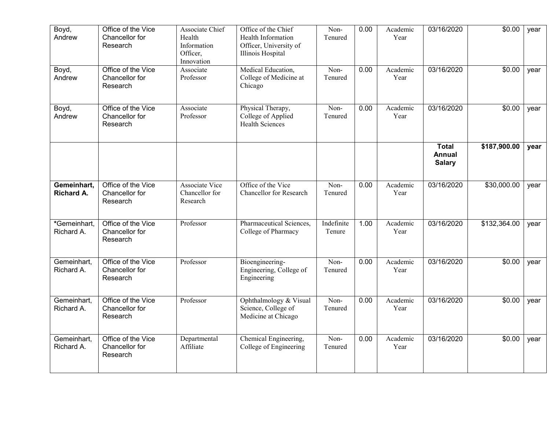| Boyd,<br>Andrew                  | Office of the Vice<br>Chancellor for<br>Research | Associate Chief<br>Health<br>Information<br>Officer,<br>Innovation | Office of the Chief<br>Health Information<br>Officer, University of<br>Illinois Hospital | Non-<br>Tenured      | 0.00 | Academic<br>Year | 03/16/2020                                     | \$0.00       | year |
|----------------------------------|--------------------------------------------------|--------------------------------------------------------------------|------------------------------------------------------------------------------------------|----------------------|------|------------------|------------------------------------------------|--------------|------|
| Boyd,<br>Andrew                  | Office of the Vice<br>Chancellor for<br>Research | Associate<br>Professor                                             | Medical Education,<br>College of Medicine at<br>Chicago                                  | Non-<br>Tenured      | 0.00 | Academic<br>Year | 03/16/2020                                     | \$0.00       | year |
| Boyd,<br>Andrew                  | Office of the Vice<br>Chancellor for<br>Research | Associate<br>Professor                                             | Physical Therapy,<br>College of Applied<br><b>Health Sciences</b>                        | Non-<br>Tenured      | 0.00 | Academic<br>Year | 03/16/2020                                     | \$0.00       | year |
|                                  |                                                  |                                                                    |                                                                                          |                      |      |                  | <b>Total</b><br><b>Annual</b><br><b>Salary</b> | \$187,900.00 | year |
| Gemeinhart,<br><b>Richard A.</b> | Office of the Vice<br>Chancellor for<br>Research | Associate Vice<br>Chancellor for<br>Research                       | Office of the Vice<br>Chancellor for Research                                            | Non-<br>Tenured      | 0.00 | Academic<br>Year | 03/16/2020                                     | \$30,000.00  | year |
| *Gemeinhart,<br>Richard A.       | Office of the Vice<br>Chancellor for<br>Research | Professor                                                          | Pharmaceutical Sciences,<br>College of Pharmacy                                          | Indefinite<br>Tenure | 1.00 | Academic<br>Year | 03/16/2020                                     | \$132,364.00 | year |
| Gemeinhart,<br>Richard A.        | Office of the Vice<br>Chancellor for<br>Research | Professor                                                          | Bioengineering-<br>Engineering, College of<br>Engineering                                | Non-<br>Tenured      | 0.00 | Academic<br>Year | 03/16/2020                                     | \$0.00       | year |
| Gemeinhart,<br>Richard A.        | Office of the Vice<br>Chancellor for<br>Research | Professor                                                          | Ophthalmology & Visual<br>Science, College of<br>Medicine at Chicago                     | Non-<br>Tenured      | 0.00 | Academic<br>Year | 03/16/2020                                     | \$0.00       | year |
| Gemeinhart,<br>Richard A.        | Office of the Vice<br>Chancellor for<br>Research | Departmental<br>Affiliate                                          | Chemical Engineering,<br>College of Engineering                                          | Non-<br>Tenured      | 0.00 | Academic<br>Year | 03/16/2020                                     | \$0.00       | year |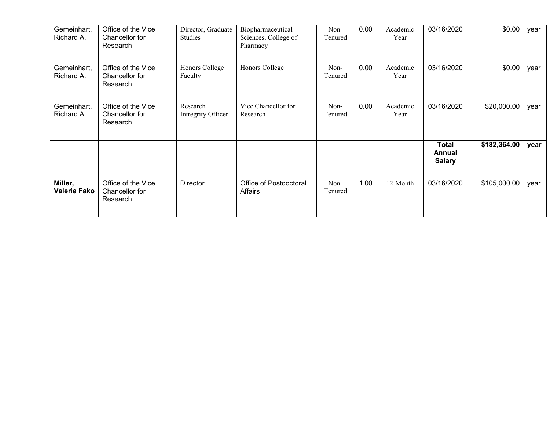| Gemeinhart,<br>Richard A.      | Office of the Vice<br>Chancellor for<br>Research | Director, Graduate<br>Studies  | Biopharmaceutical<br>Sciences, College of<br>Pharmacy | Non-<br>Tenured | 0.00 | Academic<br>Year | 03/16/2020                              | \$0.00       | year |
|--------------------------------|--------------------------------------------------|--------------------------------|-------------------------------------------------------|-----------------|------|------------------|-----------------------------------------|--------------|------|
| Gemeinhart,<br>Richard A.      | Office of the Vice<br>Chancellor for<br>Research | Honors College<br>Faculty      | Honors College                                        | Non-<br>Tenured | 0.00 | Academic<br>Year | 03/16/2020                              | \$0.00       | year |
| Gemeinhart,<br>Richard A.      | Office of the Vice<br>Chancellor for<br>Research | Research<br>Intregrity Officer | Vice Chancellor for<br>Research                       | Non-<br>Tenured | 0.00 | Academic<br>Year | 03/16/2020                              | \$20,000.00  | year |
|                                |                                                  |                                |                                                       |                 |      |                  | <b>Total</b><br>Annual<br><b>Salary</b> | \$182,364.00 | year |
| Miller,<br><b>Valerie Fako</b> | Office of the Vice<br>Chancellor for<br>Research | <b>Director</b>                | Office of Postdoctoral<br>Affairs                     | Non-<br>Tenured | 1.00 | 12-Month         | 03/16/2020                              | \$105,000.00 | year |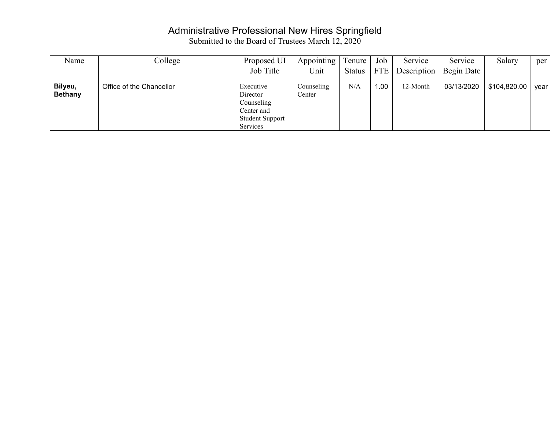### Administrative Professional New Hires Springfield

| Name                      | College                  | Proposed UI                                                                             | Appointing           | Tenure        | Job        | Service     | Service    | Salary       | per  |
|---------------------------|--------------------------|-----------------------------------------------------------------------------------------|----------------------|---------------|------------|-------------|------------|--------------|------|
|                           |                          | Job Title                                                                               | Unit                 | <b>Status</b> | <b>FTE</b> | Description | Begin Date |              |      |
| Bilyeu,<br><b>Bethany</b> | Office of the Chancellor | Executive<br>Director<br>Counseling<br>Center and<br><b>Student Support</b><br>Services | Counseling<br>Center | N/A           | 1.00       | 12-Month    | 03/13/2020 | \$104,820.00 | year |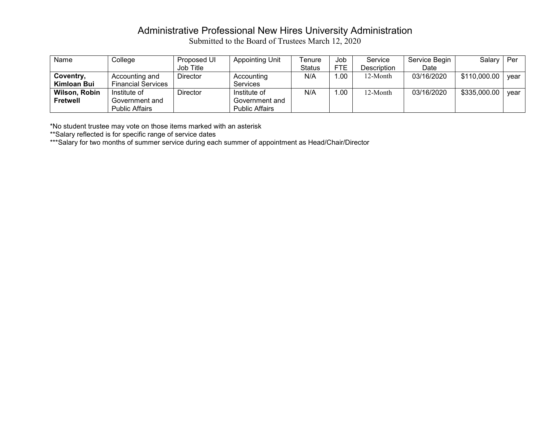# Administrative Professional New Hires University Administration

Submitted to the Board of Trustees March 12, 2020

| Name          | College                   | Proposed UI     | <b>Appointing Unit</b> | Tenure        | Job        | Service     | Service Begin | Salary       | Per  |
|---------------|---------------------------|-----------------|------------------------|---------------|------------|-------------|---------------|--------------|------|
|               |                           | Job Title       |                        | <b>Status</b> | <b>FTE</b> | Description | Date          |              |      |
| Coventry,     | Accounting and            | <b>Director</b> | Accounting             | N/A           | .00.       | 12-Month    | 03/16/2020    | \$110,000.00 | vear |
| Kimloan Bui   | <b>Financial Services</b> |                 | <b>Services</b>        |               |            |             |               |              |      |
| Wilson, Robin | Institute of              | Director        | Institute of           | N/A           | .00        | 12-Month    | 03/16/2020    | \$335,000.00 | vear |
| Fretwell      | Government and            |                 | Government and         |               |            |             |               |              |      |
|               | <b>Public Affairs</b>     |                 | <b>Public Affairs</b>  |               |            |             |               |              |      |

\*No student trustee may vote on those items marked with an asterisk

\*\*Salary reflected is for specific range of service dates

\*\*\*Salary for two months of summer service during each summer of appointment as Head/Chair/Director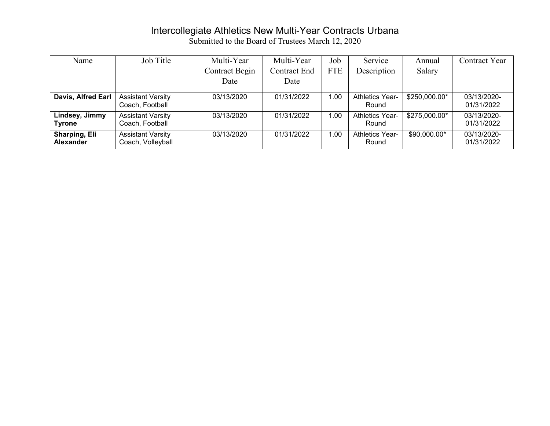### Intercollegiate Athletics New Multi-Year Contracts Urbana

| Name                              | Job Title                                     | Multi-Year     | Multi-Year   | Job        | Service                         | Annual        | Contract Year             |
|-----------------------------------|-----------------------------------------------|----------------|--------------|------------|---------------------------------|---------------|---------------------------|
|                                   |                                               | Contract Begin | Contract End | <b>FTE</b> | Description                     | Salary        |                           |
|                                   |                                               | Date           | Date         |            |                                 |               |                           |
| Davis, Alfred Earl                | <b>Assistant Varsity</b><br>Coach, Football   | 03/13/2020     | 01/31/2022   | 1.00       | Athletics Year-<br>Round        | \$250,000.00* | 03/13/2020-<br>01/31/2022 |
| Lindsey, Jimmy<br><b>Tyrone</b>   | <b>Assistant Varsity</b><br>Coach, Football   | 03/13/2020     | 01/31/2022   | 1.00       | <b>Athletics Year-</b><br>Round | \$275,000.00* | 03/13/2020-<br>01/31/2022 |
| Sharping, Eli<br><b>Alexander</b> | <b>Assistant Varsity</b><br>Coach, Volleyball | 03/13/2020     | 01/31/2022   | 1.00       | <b>Athletics Year-</b><br>Round | \$90,000.00*  | 03/13/2020-<br>01/31/2022 |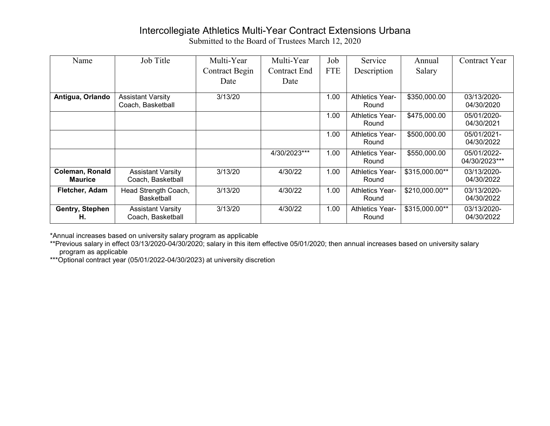## Intercollegiate Athletics Multi-Year Contract Extensions Urbana

Submitted to the Board of Trustees March 12, 2020

| Name                              | Job Title                                     | Multi-Year     | Multi-Year   | Job        | Service                         | Annual         | Contract Year                |
|-----------------------------------|-----------------------------------------------|----------------|--------------|------------|---------------------------------|----------------|------------------------------|
|                                   |                                               | Contract Begin | Contract End | <b>FTE</b> | Description                     | Salary         |                              |
|                                   |                                               | Date           | Date         |            |                                 |                |                              |
| Antigua, Orlando                  | <b>Assistant Varsity</b><br>Coach, Basketball | 3/13/20        |              | 1.00       | <b>Athletics Year-</b><br>Round | \$350,000.00   | 03/13/2020-<br>04/30/2020    |
|                                   |                                               |                |              | 1.00       | Athletics Year-<br>Round        | \$475,000.00   | 05/01/2020-<br>04/30/2021    |
|                                   |                                               |                |              | 1.00       | <b>Athletics Year-</b><br>Round | \$500,000.00   | 05/01/2021-<br>04/30/2022    |
|                                   |                                               |                | 4/30/2023*** | 1.00       | <b>Athletics Year-</b><br>Round | \$550,000.00   | 05/01/2022-<br>04/30/2023*** |
| Coleman, Ronald<br><b>Maurice</b> | <b>Assistant Varsity</b><br>Coach, Basketball | 3/13/20        | 4/30/22      | 1.00       | <b>Athletics Year-</b><br>Round | \$315,000.00** | 03/13/2020-<br>04/30/2022    |
| Fletcher, Adam                    | Head Strength Coach,<br><b>Basketball</b>     | 3/13/20        | 4/30/22      | 1.00       | <b>Athletics Year-</b><br>Round | \$210,000.00** | 03/13/2020-<br>04/30/2022    |
| Gentry, Stephen<br>Н.             | <b>Assistant Varsity</b><br>Coach, Basketball | 3/13/20        | 4/30/22      | 1.00       | <b>Athletics Year-</b><br>Round | \$315,000.00** | 03/13/2020-<br>04/30/2022    |

\*Annual increases based on university salary program as applicable

\*\*Previous salary in effect 03/13/2020-04/30/2020; salary in this item effective 05/01/2020; then annual increases based on university salary program as applicable

\*\*\*Optional contract year (05/01/2022-04/30/2023) at university discretion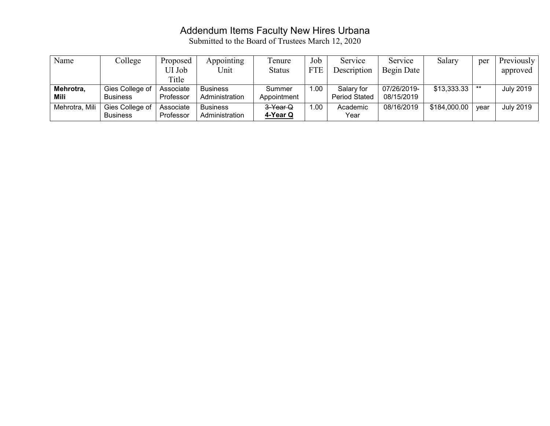### Addendum Items Faculty New Hires Urbana

| Name           | College         | Proposed  | Appointing      | l'enure       | Job        | Service              | Service     | Salary       | per   | Previously       |
|----------------|-----------------|-----------|-----------------|---------------|------------|----------------------|-------------|--------------|-------|------------------|
|                |                 | UI Job    | Unit            | <b>Status</b> | <b>FTE</b> | Description          | Begin Date  |              |       | approved         |
|                |                 | Title     |                 |               |            |                      |             |              |       |                  |
| Mehrotra,      | Gies College of | Associate | <b>Business</b> | Summer        | 1.00       | Salary for           | 07/26/2019- | \$13,333.33  | $***$ | <b>July 2019</b> |
| Mili           | <b>Business</b> | Professor | Administration  | Appointment   |            | <b>Period Stated</b> | 08/15/2019  |              |       |                  |
| Mehrotra, Mili | Gies College of | Associate | <b>Business</b> | 3-Year Q      | 00.        | Academic             | 08/16/2019  | \$184,000.00 | vear  | <b>July 2019</b> |
|                | <b>Business</b> | Professor | Administration  | 4-Year Q      |            | Year                 |             |              |       |                  |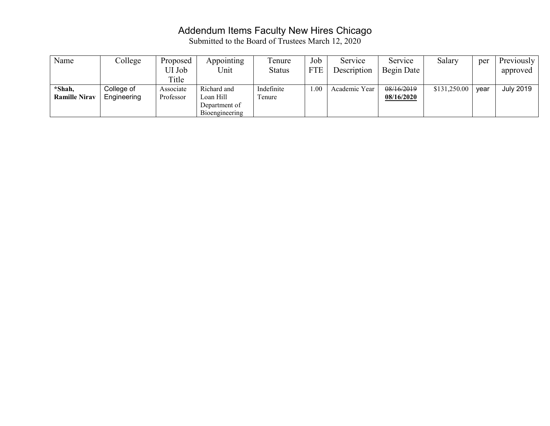## Addendum Items Faculty New Hires Chicago

| Name                 | College     | Proposed  | Appointing                  | Tenure        | Job        | Service       | Service    | Salary       | per  | Previously       |
|----------------------|-------------|-----------|-----------------------------|---------------|------------|---------------|------------|--------------|------|------------------|
|                      |             | UI Job    | Unit                        | <b>Status</b> | <b>FTE</b> | Description   | Begin Date |              |      | approved         |
|                      |             | Title     |                             |               |            |               |            |              |      |                  |
| *Shah,               | College of  | Associate | Richard and                 | Indefinite    | 1.00       | Academic Year | 08/16/2019 | \$131,250.00 | vear | <b>July 2019</b> |
| <b>Ramille Nirav</b> | Engineering | Professor | Loan Hill                   | l'enure       |            |               | 08/16/2020 |              |      |                  |
|                      |             |           | Department of               |               |            |               |            |              |      |                  |
|                      |             |           | B <sub>10</sub> engineering |               |            |               |            |              |      |                  |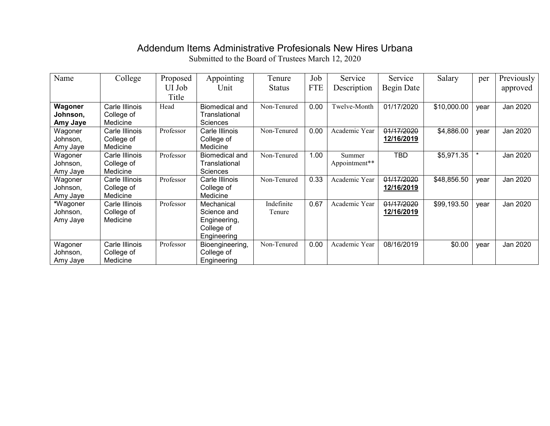## Addendum Items Administrative Profesionals New Hires Urbana

| Name     | College        | Proposed  | Appointing            | Tenure        | Job        | Service       | Service    | Salary      | per     | Previously |
|----------|----------------|-----------|-----------------------|---------------|------------|---------------|------------|-------------|---------|------------|
|          |                | UI Job    | Unit                  | <b>Status</b> | <b>FTE</b> | Description   | Begin Date |             |         | approved   |
|          |                | Title     |                       |               |            |               |            |             |         |            |
| Wagoner  | Carle Illinois | Head      | <b>Biomedical and</b> | Non-Tenured   | 0.00       | Twelve-Month  | 01/17/2020 | \$10,000.00 | year    | Jan 2020   |
| Johnson, | College of     |           | Translational         |               |            |               |            |             |         |            |
| Amy Jaye | Medicine       |           | <b>Sciences</b>       |               |            |               |            |             |         |            |
| Wagoner  | Carle Illinois | Professor | Carle Illinois        | Non-Tenured   | 0.00       | Academic Year | 01/17/2020 | \$4,886.00  | vear    | Jan 2020   |
| Johnson, | College of     |           | College of            |               |            |               | 12/16/2019 |             |         |            |
| Amy Jaye | Medicine       |           | Medicine              |               |            |               |            |             |         |            |
| Wagoner  | Carle Illinois | Professor | Biomedical and        | Non-Tenured   | 1.00       | Summer        | TBD        | \$5,971.35  | $\star$ | Jan 2020   |
| Johnson, | College of     |           | Translational         |               |            | Appointment** |            |             |         |            |
| Amy Jaye | Medicine       |           | <b>Sciences</b>       |               |            |               |            |             |         |            |
| Wagoner  | Carle Illinois | Professor | Carle Illinois        | Non-Tenured   | 0.33       | Academic Year | 01/17/2020 | \$48,856.50 | year    | Jan 2020   |
| Johnson, | College of     |           | College of            |               |            |               | 12/16/2019 |             |         |            |
| Amy Jaye | Medicine       |           | Medicine              |               |            |               |            |             |         |            |
| *Wagoner | Carle Illinois | Professor | Mechanical            | Indefinite    | 0.67       | Academic Year | 01/17/2020 | \$99,193.50 | vear    | Jan 2020   |
| Johnson, | College of     |           | Science and           | Tenure        |            |               | 12/16/2019 |             |         |            |
| Amy Jaye | Medicine       |           | Engineering,          |               |            |               |            |             |         |            |
|          |                |           | College of            |               |            |               |            |             |         |            |
|          |                |           | Engineering           |               |            |               |            |             |         |            |
| Wagoner  | Carle Illinois | Professor | Bioengineering,       | Non-Tenured   | 0.00       | Academic Year | 08/16/2019 | \$0.00      | year    | Jan 2020   |
| Johnson, | College of     |           | College of            |               |            |               |            |             |         |            |
| Amy Jaye | Medicine       |           | Engineering           |               |            |               |            |             |         |            |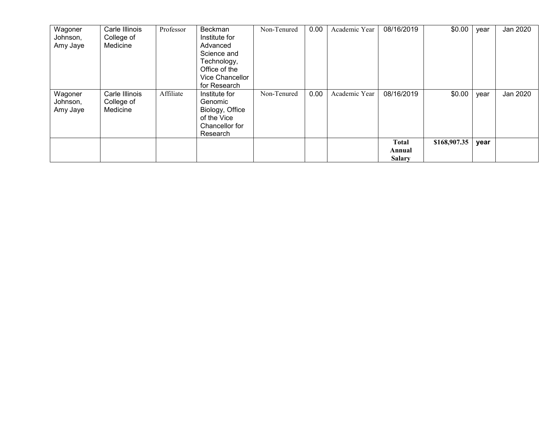| Wagoner  | Carle Illinois | Professor | Beckman         | Non-Tenured | 0.00 | Academic Year | 08/16/2019    | \$0.00       | year | Jan 2020 |
|----------|----------------|-----------|-----------------|-------------|------|---------------|---------------|--------------|------|----------|
| Johnson, | College of     |           | Institute for   |             |      |               |               |              |      |          |
| Amy Jaye | Medicine       |           | Advanced        |             |      |               |               |              |      |          |
|          |                |           | Science and     |             |      |               |               |              |      |          |
|          |                |           | Technology,     |             |      |               |               |              |      |          |
|          |                |           | Office of the   |             |      |               |               |              |      |          |
|          |                |           | Vice Chancellor |             |      |               |               |              |      |          |
|          |                |           | for Research    |             |      |               |               |              |      |          |
| Wagoner  | Carle Illinois | Affiliate | Institute for   | Non-Tenured | 0.00 | Academic Year | 08/16/2019    | \$0.00       | year | Jan 2020 |
| Johnson, | College of     |           | Genomic         |             |      |               |               |              |      |          |
| Amy Jaye | Medicine       |           | Biology, Office |             |      |               |               |              |      |          |
|          |                |           | of the Vice     |             |      |               |               |              |      |          |
|          |                |           | Chancellor for  |             |      |               |               |              |      |          |
|          |                |           | Research        |             |      |               |               |              |      |          |
|          |                |           |                 |             |      |               | <b>Total</b>  | \$168,907.35 | year |          |
|          |                |           |                 |             |      |               | Annual        |              |      |          |
|          |                |           |                 |             |      |               | <b>Salary</b> |              |      |          |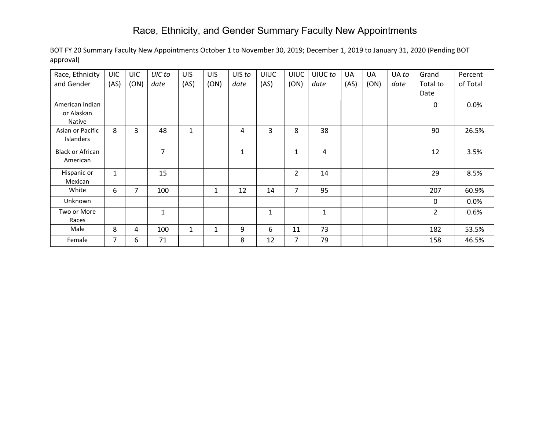# Race, Ethnicity, and Gender Summary Faculty New Appointments

| Race, Ethnicity         | <b>UIC</b>     | <b>UIC</b> | UIC to         | <b>UIS</b>   | <b>UIS</b>   | UIS to       | <b>UIUC</b> | <b>UIUC</b>    | UIUC to | UA   | UA   | UA to | Grand          | Percent  |
|-------------------------|----------------|------------|----------------|--------------|--------------|--------------|-------------|----------------|---------|------|------|-------|----------------|----------|
| and Gender              | (AS)           | (ON)       | date           | (AS)         | (ON)         | date         | (AS)        | (ON)           | date    | (AS) | (ON) | date  | Total to       | of Total |
|                         |                |            |                |              |              |              |             |                |         |      |      |       | Date           |          |
| American Indian         |                |            |                |              |              |              |             |                |         |      |      |       | 0              | 0.0%     |
| or Alaskan              |                |            |                |              |              |              |             |                |         |      |      |       |                |          |
| Native                  |                |            |                |              |              |              |             |                |         |      |      |       |                |          |
| Asian or Pacific        | 8              | 3          | 48             | $\mathbf{1}$ |              | 4            | 3           | 8              | 38      |      |      |       | 90             | 26.5%    |
| <b>Islanders</b>        |                |            |                |              |              |              |             |                |         |      |      |       |                |          |
| <b>Black or African</b> |                |            | $\overline{7}$ |              |              | $\mathbf{1}$ |             | 1              | 4       |      |      |       | 12             | 3.5%     |
| American                |                |            |                |              |              |              |             |                |         |      |      |       |                |          |
| Hispanic or             | $\mathbf{1}$   |            | 15             |              |              |              |             | $\overline{2}$ | 14      |      |      |       | 29             | 8.5%     |
| Mexican                 |                |            |                |              |              |              |             |                |         |      |      |       |                |          |
| White                   | 6              | 7          | 100            |              | 1            | 12           | 14          | $\overline{7}$ | 95      |      |      |       | 207            | 60.9%    |
| Unknown                 |                |            |                |              |              |              |             |                |         |      |      |       | $\mathbf{0}$   | 0.0%     |
| Two or More             |                |            | 1              |              |              |              | 1           |                | 1       |      |      |       | $\overline{2}$ | 0.6%     |
| Races                   |                |            |                |              |              |              |             |                |         |      |      |       |                |          |
| Male                    | 8              | 4          | 100            | 1            | $\mathbf{1}$ | 9            | 6           | 11             | 73      |      |      |       | 182            | 53.5%    |
| Female                  | $\overline{7}$ | 6          | 71             |              |              | 8            | 12          | $\overline{7}$ | 79      |      |      |       | 158            | 46.5%    |

BOT FY 20 Summary Faculty New Appointments October 1 to November 30, 2019; December 1, 2019 to January 31, 2020 (Pending BOT approval)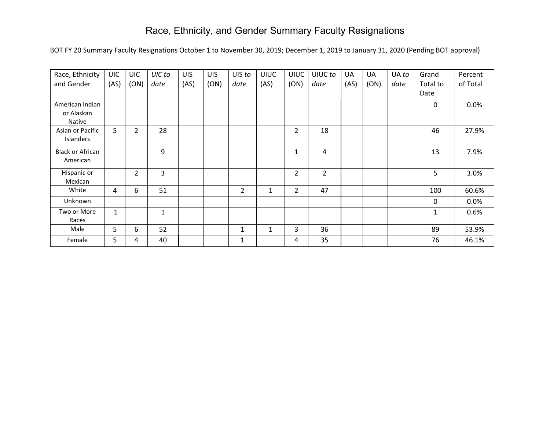# Race, Ethnicity, and Gender Summary Faculty Resignations

BOT FY 20 Summary Faculty Resignations October 1 to November 30, 2019; December 1, 2019 to January 31, 2020 (Pending BOT approval)

| Race, Ethnicity         | <b>UIC</b>   | <b>UIC</b>     | UIC to       | <b>UIS</b> | <b>UIS</b> | UIS to | <b>UIUC</b> | <b>UIUC</b>    | UIUC to        | UA   | UA   | UA to | Grand        | Percent  |
|-------------------------|--------------|----------------|--------------|------------|------------|--------|-------------|----------------|----------------|------|------|-------|--------------|----------|
| and Gender              | (AS)         | (ON)           | date         | (AS)       | (ON)       | date   | (AS)        | (ON)           | date           | (AS) | (ON) | date  | Total to     | of Total |
|                         |              |                |              |            |            |        |             |                |                |      |      |       | Date         |          |
| American Indian         |              |                |              |            |            |        |             |                |                |      |      |       | 0            | 0.0%     |
| or Alaskan              |              |                |              |            |            |        |             |                |                |      |      |       |              |          |
| Native                  |              |                |              |            |            |        |             |                |                |      |      |       |              |          |
| Asian or Pacific        | 5            | $\overline{2}$ | 28           |            |            |        |             | $\overline{2}$ | 18             |      |      |       | 46           | 27.9%    |
| Islanders               |              |                |              |            |            |        |             |                |                |      |      |       |              |          |
| <b>Black or African</b> |              |                | 9            |            |            |        |             | $\mathbf{1}$   | 4              |      |      |       | 13           | 7.9%     |
| American                |              |                |              |            |            |        |             |                |                |      |      |       |              |          |
| Hispanic or             |              | $\overline{2}$ | 3            |            |            |        |             | $\overline{2}$ | $\overline{2}$ |      |      |       | 5            | 3.0%     |
| Mexican                 |              |                |              |            |            |        |             |                |                |      |      |       |              |          |
| White                   | 4            | 6              | 51           |            |            | 2      | 1           | $\overline{2}$ | 47             |      |      |       | 100          | 60.6%    |
| Unknown                 |              |                |              |            |            |        |             |                |                |      |      |       | 0            | 0.0%     |
| Two or More             | $\mathbf{1}$ |                | $\mathbf{1}$ |            |            |        |             |                |                |      |      |       | $\mathbf{1}$ | 0.6%     |
| Races                   |              |                |              |            |            |        |             |                |                |      |      |       |              |          |
| Male                    | 5            | 6              | 52           |            |            | 1      | 1           | 3              | 36             |      |      |       | 89           | 53.9%    |
| Female                  | 5            | 4              | 40           |            |            | 1      |             | 4              | 35             |      |      |       | 76           | 46.1%    |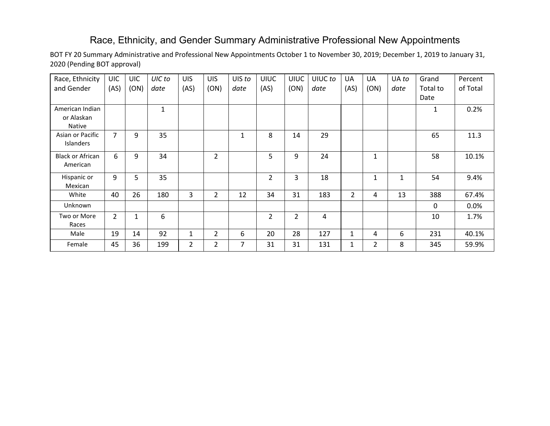## Race, Ethnicity, and Gender Summary Administrative Professional New Appointments

BOT FY 20 Summary Administrative and Professional New Appointments October 1 to November 30, 2019; December 1, 2019 to January 31, 2020 (Pending BOT approval)

| Race, Ethnicity<br>and Gender                  | <b>UIC</b><br>(AS) | <b>UIC</b><br>(ON) | UIC to<br>date | <b>UIS</b><br>(AS) | <b>UIS</b><br>(ON) | UIS to<br>date | <b>UIUC</b><br>(AS) | <b>UIUC</b><br>(ON) | UIUC to<br>date | UA<br>(AS)   | <b>UA</b><br>(ON) | UA to<br>date | Grand<br>Total to | Percent<br>of Total |
|------------------------------------------------|--------------------|--------------------|----------------|--------------------|--------------------|----------------|---------------------|---------------------|-----------------|--------------|-------------------|---------------|-------------------|---------------------|
|                                                |                    |                    |                |                    |                    |                |                     |                     |                 |              |                   |               | Date              |                     |
| American Indian<br>or Alaskan<br><b>Native</b> |                    |                    | $\mathbf{1}$   |                    |                    |                |                     |                     |                 |              |                   |               | 1                 | 0.2%                |
| Asian or Pacific<br><b>Islanders</b>           | $\overline{7}$     | 9                  | 35             |                    |                    | 1              | 8                   | 14                  | 29              |              |                   |               | 65                | 11.3                |
| <b>Black or African</b><br>American            | 6                  | 9                  | 34             |                    | $\overline{2}$     |                | 5                   | 9                   | 24              |              | $\mathbf{1}$      |               | 58                | 10.1%               |
| Hispanic or<br>Mexican                         | 9                  | 5                  | 35             |                    |                    |                | 2                   | 3                   | 18              |              | $\mathbf{1}$      | $\mathbf{1}$  | 54                | 9.4%                |
| White                                          | 40                 | 26                 | 180            | 3                  | $\overline{2}$     | 12             | 34                  | 31                  | 183             | $2^{\circ}$  | 4                 | 13            | 388               | 67.4%               |
| Unknown                                        |                    |                    |                |                    |                    |                |                     |                     |                 |              |                   |               | $\mathbf{0}$      | 0.0%                |
| Two or More<br>Races                           | $\overline{2}$     | $\mathbf{1}$       | 6              |                    |                    |                | $\overline{2}$      | $\overline{2}$      | 4               |              |                   |               | 10                | 1.7%                |
| Male                                           | 19                 | 14                 | 92             | 1                  | 2                  | 6              | 20                  | 28                  | 127             | $\mathbf{1}$ | 4                 | 6             | 231               | 40.1%               |
| Female                                         | 45                 | 36                 | 199            | $\overline{2}$     | 2                  | 7              | 31                  | 31                  | 131             | 1            | $\overline{2}$    | 8             | 345               | 59.9%               |